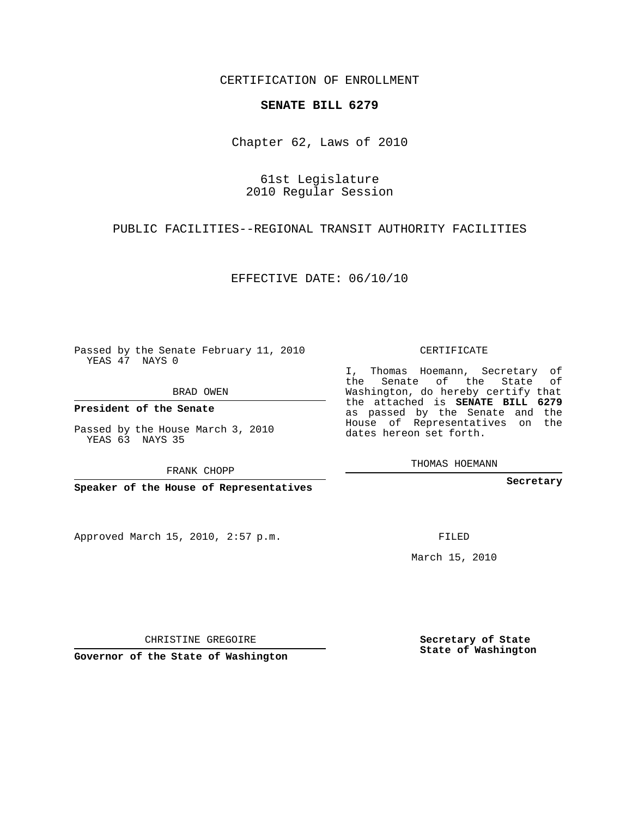CERTIFICATION OF ENROLLMENT

## **SENATE BILL 6279**

Chapter 62, Laws of 2010

61st Legislature 2010 Regular Session

PUBLIC FACILITIES--REGIONAL TRANSIT AUTHORITY FACILITIES

EFFECTIVE DATE: 06/10/10

Passed by the Senate February 11, 2010 YEAS 47 NAYS 0

BRAD OWEN

**President of the Senate**

Passed by the House March 3, 2010 YEAS 63 NAYS 35

FRANK CHOPP

**Speaker of the House of Representatives**

Approved March 15, 2010, 2:57 p.m.

CERTIFICATE

I, Thomas Hoemann, Secretary of the Senate of the State of Washington, do hereby certify that the attached is **SENATE BILL 6279** as passed by the Senate and the House of Representatives on the dates hereon set forth.

THOMAS HOEMANN

**Secretary**

FILED

March 15, 2010

**Secretary of State State of Washington**

CHRISTINE GREGOIRE

**Governor of the State of Washington**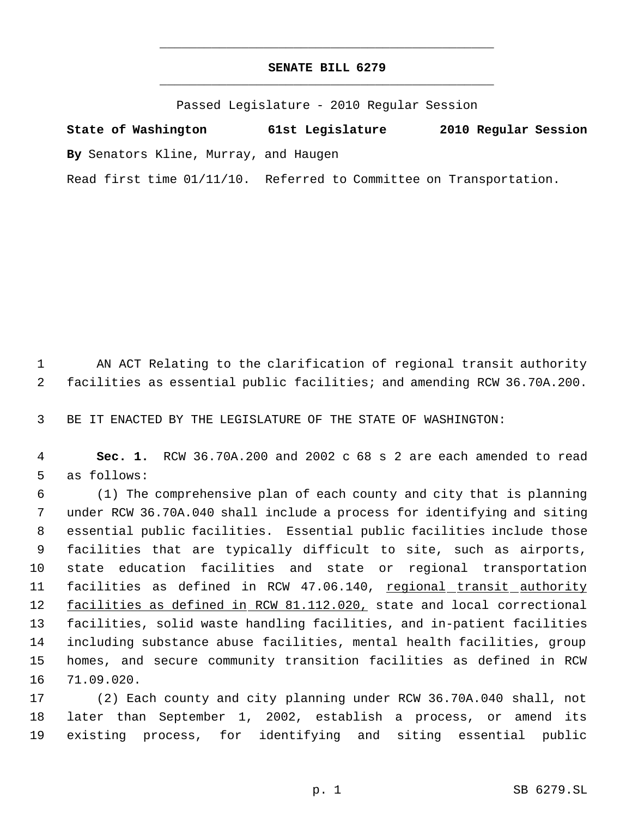## **SENATE BILL 6279** \_\_\_\_\_\_\_\_\_\_\_\_\_\_\_\_\_\_\_\_\_\_\_\_\_\_\_\_\_\_\_\_\_\_\_\_\_\_\_\_\_\_\_\_\_

\_\_\_\_\_\_\_\_\_\_\_\_\_\_\_\_\_\_\_\_\_\_\_\_\_\_\_\_\_\_\_\_\_\_\_\_\_\_\_\_\_\_\_\_\_

Passed Legislature - 2010 Regular Session

**State of Washington 61st Legislature 2010 Regular Session By** Senators Kline, Murray, and Haugen

Read first time 01/11/10. Referred to Committee on Transportation.

 AN ACT Relating to the clarification of regional transit authority facilities as essential public facilities; and amending RCW 36.70A.200.

BE IT ENACTED BY THE LEGISLATURE OF THE STATE OF WASHINGTON:

 **Sec. 1.** RCW 36.70A.200 and 2002 c 68 s 2 are each amended to read as follows:

 (1) The comprehensive plan of each county and city that is planning under RCW 36.70A.040 shall include a process for identifying and siting essential public facilities. Essential public facilities include those facilities that are typically difficult to site, such as airports, state education facilities and state or regional transportation 11 facilities as defined in RCW 47.06.140, regional transit authority 12 facilities as defined in RCW 81.112.020, state and local correctional facilities, solid waste handling facilities, and in-patient facilities including substance abuse facilities, mental health facilities, group homes, and secure community transition facilities as defined in RCW 71.09.020.

 (2) Each county and city planning under RCW 36.70A.040 shall, not later than September 1, 2002, establish a process, or amend its existing process, for identifying and siting essential public